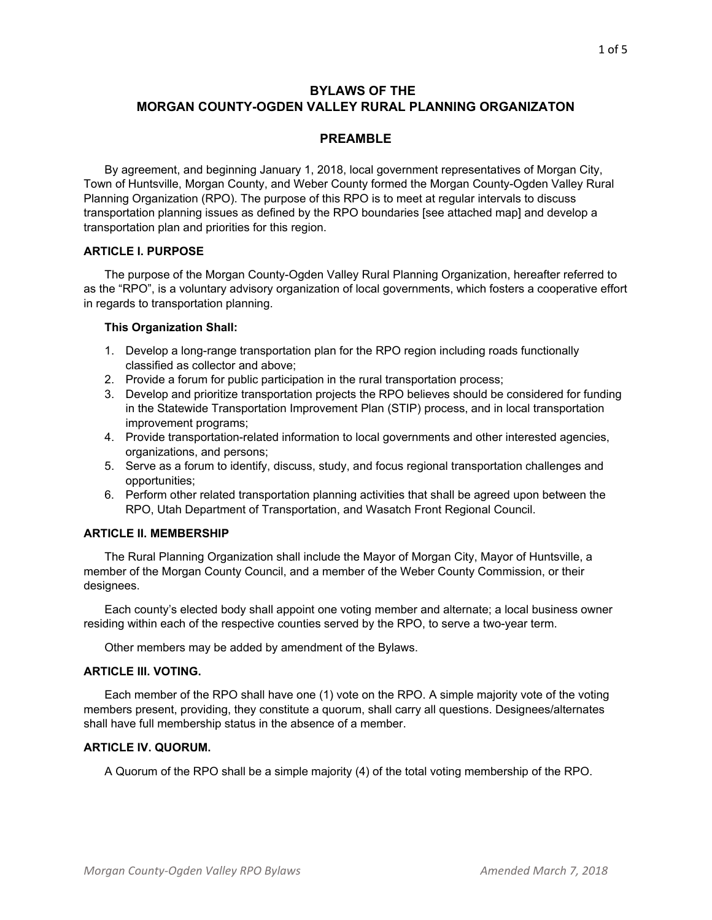# **BYLAWS OF THE MORGAN COUNTY-OGDEN VALLEY RURAL PLANNING ORGANIZATON**

### **PREAMBLE**

By agreement, and beginning January 1, 2018, local government representatives of Morgan City, Town of Huntsville, Morgan County, and Weber County formed the Morgan County-Ogden Valley Rural Planning Organization (RPO). The purpose of this RPO is to meet at regular intervals to discuss transportation planning issues as defined by the RPO boundaries [see attached map] and develop a transportation plan and priorities for this region.

### **ARTICLE I. PURPOSE**

The purpose of the Morgan County-Ogden Valley Rural Planning Organization, hereafter referred to as the "RPO", is a voluntary advisory organization of local governments, which fosters a cooperative effort in regards to transportation planning.

### **This Organization Shall:**

- 1. Develop a long-range transportation plan for the RPO region including roads functionally classified as collector and above;
- 2. Provide a forum for public participation in the rural transportation process;
- 3. Develop and prioritize transportation projects the RPO believes should be considered for funding in the Statewide Transportation Improvement Plan (STIP) process, and in local transportation improvement programs;
- 4. Provide transportation-related information to local governments and other interested agencies, organizations, and persons;
- 5. Serve as a forum to identify, discuss, study, and focus regional transportation challenges and opportunities;
- 6. Perform other related transportation planning activities that shall be agreed upon between the RPO, Utah Department of Transportation, and Wasatch Front Regional Council.

# **ARTICLE II. MEMBERSHIP**

The Rural Planning Organization shall include the Mayor of Morgan City, Mayor of Huntsville, a member of the Morgan County Council, and a member of the Weber County Commission, or their designees.

Each county's elected body shall appoint one voting member and alternate; a local business owner residing within each of the respective counties served by the RPO, to serve a two-year term.

Other members may be added by amendment of the Bylaws.

# **ARTICLE III. VOTING.**

Each member of the RPO shall have one (1) vote on the RPO. A simple majority vote of the voting members present, providing, they constitute a quorum, shall carry all questions. Designees/alternates shall have full membership status in the absence of a member.

# **ARTICLE IV. QUORUM.**

A Quorum of the RPO shall be a simple majority (4) of the total voting membership of the RPO.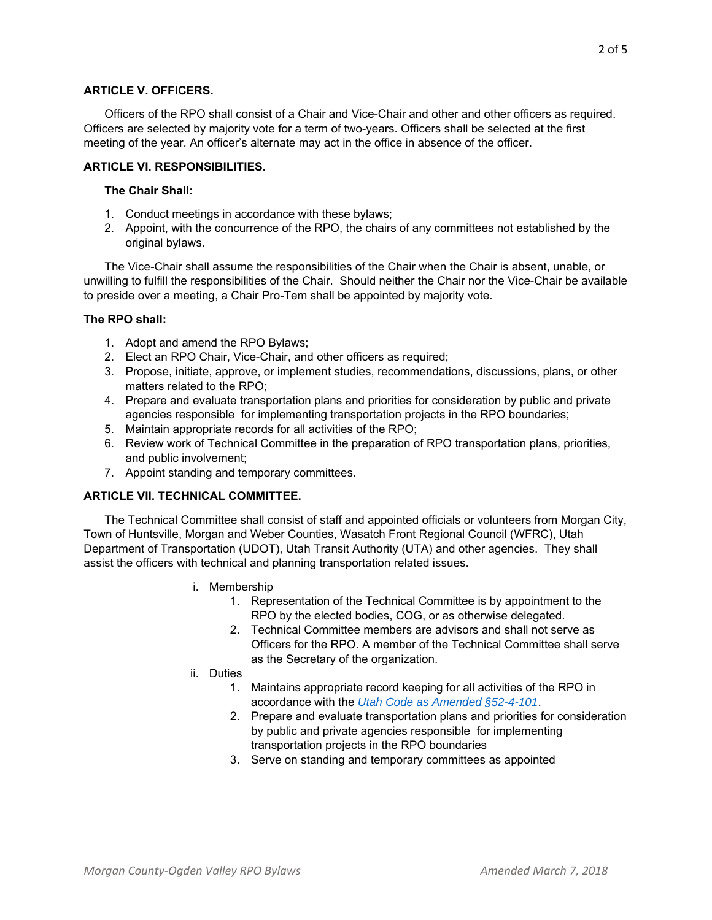#### **ARTICLE V. OFFICERS.**

Officers of the RPO shall consist of a Chair and Vice-Chair and other and other officers as required. Officers are selected by majority vote for a term of two-years. Officers shall be selected at the first meeting of the year. An officer's alternate may act in the office in absence of the officer.

### **ARTICLE VI. RESPONSIBILITIES.**

### **The Chair Shall:**

- 1. Conduct meetings in accordance with these bylaws;
- 2. Appoint, with the concurrence of the RPO, the chairs of any committees not established by the original bylaws.

The Vice-Chair shall assume the responsibilities of the Chair when the Chair is absent, unable, or unwilling to fulfill the responsibilities of the Chair. Should neither the Chair nor the Vice-Chair be available to preside over a meeting, a Chair Pro-Tem shall be appointed by majority vote.

### **The RPO shall:**

- 1. Adopt and amend the RPO Bylaws;
- 2. Elect an RPO Chair, Vice-Chair, and other officers as required;
- 3. Propose, initiate, approve, or implement studies, recommendations, discussions, plans, or other matters related to the RPO;
- 4. Prepare and evaluate transportation plans and priorities for consideration by public and private agencies responsible for implementing transportation projects in the RPO boundaries;
- 5. Maintain appropriate records for all activities of the RPO;
- 6. Review work of Technical Committee in the preparation of RPO transportation plans, priorities, and public involvement;
- 7. Appoint standing and temporary committees.

# **ARTICLE VII. TECHNICAL COMMITTEE.**

The Technical Committee shall consist of staff and appointed officials or volunteers from Morgan City, Town of Huntsville, Morgan and Weber Counties, Wasatch Front Regional Council (WFRC), Utah Department of Transportation (UDOT), Utah Transit Authority (UTA) and other agencies. They shall assist the officers with technical and planning transportation related issues.

- i. Membership
	- 1. Representation of the Technical Committee is by appointment to the RPO by the elected bodies, COG, or as otherwise delegated.
	- 2. Technical Committee members are advisors and shall not serve as Officers for the RPO. A member of the Technical Committee shall serve as the Secretary of the organization.
- ii. Duties
	- 1. Maintains appropriate record keeping for all activities of the RPO in accordance with the *Utah Code as Amended §52-4-101*.
	- 2. Prepare and evaluate transportation plans and priorities for consideration by public and private agencies responsible for implementing transportation projects in the RPO boundaries
	- 3. Serve on standing and temporary committees as appointed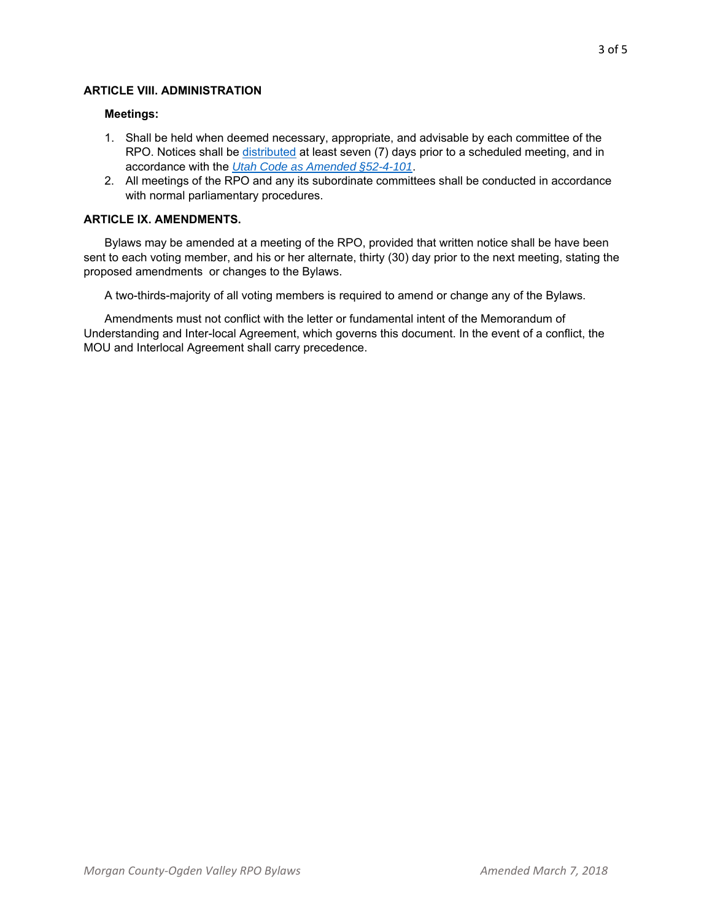# **ARTICLE VIII. ADMINISTRATION**

### **Meetings:**

- 1. Shall be held when deemed necessary, appropriate, and advisable by each committee of the RPO. Notices shall be distributed at least seven (7) days prior to a scheduled meeting, and in accordance with the *Utah Code as Amended §52-4-101*.
- 2. All meetings of the RPO and any its subordinate committees shall be conducted in accordance with normal parliamentary procedures.

# **ARTICLE IX. AMENDMENTS.**

Bylaws may be amended at a meeting of the RPO, provided that written notice shall be have been sent to each voting member, and his or her alternate, thirty (30) day prior to the next meeting, stating the proposed amendments or changes to the Bylaws.

A two-thirds-majority of all voting members is required to amend or change any of the Bylaws.

Amendments must not conflict with the letter or fundamental intent of the Memorandum of Understanding and Inter-local Agreement, which governs this document. In the event of a conflict, the MOU and Interlocal Agreement shall carry precedence.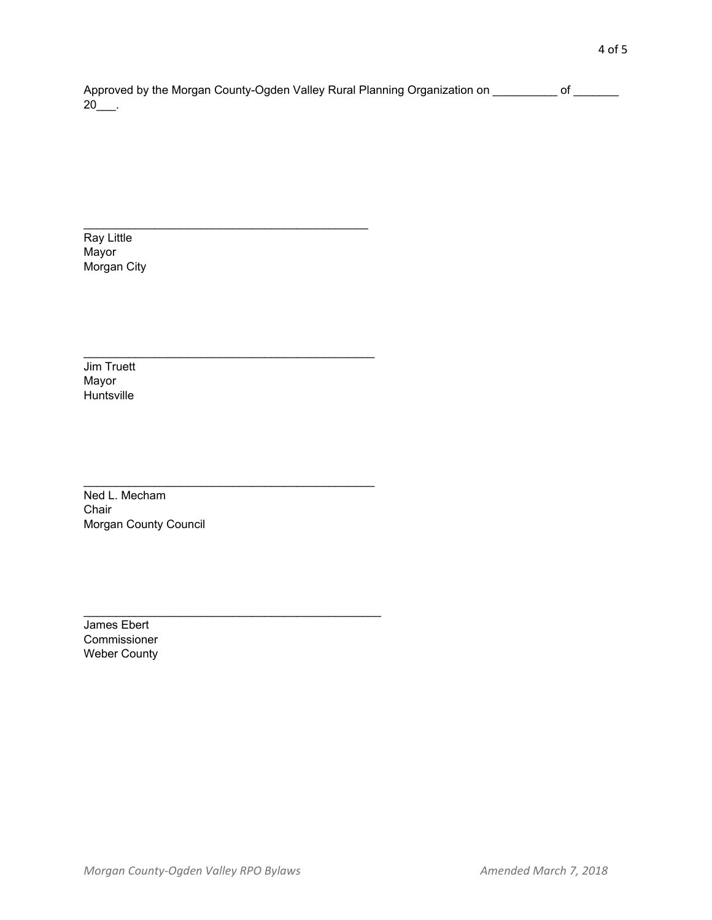Approved by the Morgan County-Ogden Valley Rural Planning Organization on \_\_\_\_\_\_\_\_\_\_ of \_\_\_\_\_\_\_  $20$ \_\_\_.

Ray Little Mayor Morgan City

Jim Truett Mayor Huntsville

Ned L. Mecham Chair Morgan County Council

James Ebert Commissioner Weber County